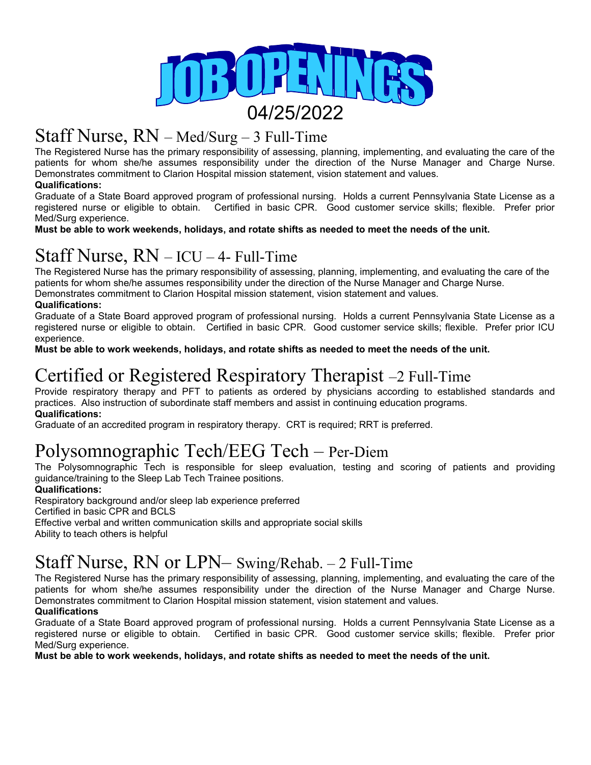

### Staff Nurse, RN – Med/Surg – 3 Full-Time

The Registered Nurse has the primary responsibility of assessing, planning, implementing, and evaluating the care of the patients for whom she/he assumes responsibility under the direction of the Nurse Manager and Charge Nurse. Demonstrates commitment to Clarion Hospital mission statement, vision statement and values.

#### **Qualifications:**

Graduate of a State Board approved program of professional nursing. Holds a current Pennsylvania State License as a registered nurse or eligible to obtain. Certified in basic CPR. Good customer service skills; flexible. Prefer prior Med/Surg experience.

**Must be able to work weekends, holidays, and rotate shifts as needed to meet the needs of the unit.**

### Staff Nurse, RN – ICU – 4- Full-Time

The Registered Nurse has the primary responsibility of assessing, planning, implementing, and evaluating the care of the patients for whom she/he assumes responsibility under the direction of the Nurse Manager and Charge Nurse. Demonstrates commitment to Clarion Hospital mission statement, vision statement and values.

#### **Qualifications:**

Graduate of a State Board approved program of professional nursing. Holds a current Pennsylvania State License as a registered nurse or eligible to obtain. Certified in basic CPR. Good customer service skills; flexible. Prefer prior ICU experience.

**Must be able to work weekends, holidays, and rotate shifts as needed to meet the needs of the unit.**

# Certified or Registered Respiratory Therapist –2 Full-Time

Provide respiratory therapy and PFT to patients as ordered by physicians according to established standards and practices. Also instruction of subordinate staff members and assist in continuing education programs. **Qualifications:**

Graduate of an accredited program in respiratory therapy. CRT is required; RRT is preferred.

### Polysomnographic Tech/EEG Tech – Per-Diem

The Polysomnographic Tech is responsible for sleep evaluation, testing and scoring of patients and providing guidance/training to the Sleep Lab Tech Trainee positions.

#### **Qualifications:**

Respiratory background and/or sleep lab experience preferred

Certified in basic CPR and BCLS

Effective verbal and written communication skills and appropriate social skills

Ability to teach others is helpful

### Staff Nurse, RN or LPN– Swing/Rehab. – 2 Full-Time

The Registered Nurse has the primary responsibility of assessing, planning, implementing, and evaluating the care of the patients for whom she/he assumes responsibility under the direction of the Nurse Manager and Charge Nurse. Demonstrates commitment to Clarion Hospital mission statement, vision statement and values.

#### **Qualifications**

Graduate of a State Board approved program of professional nursing. Holds a current Pennsylvania State License as a registered nurse or eligible to obtain. Certified in basic CPR. Good customer service skills; flexible. Prefer prior Med/Surg experience.

**Must be able to work weekends, holidays, and rotate shifts as needed to meet the needs of the unit.**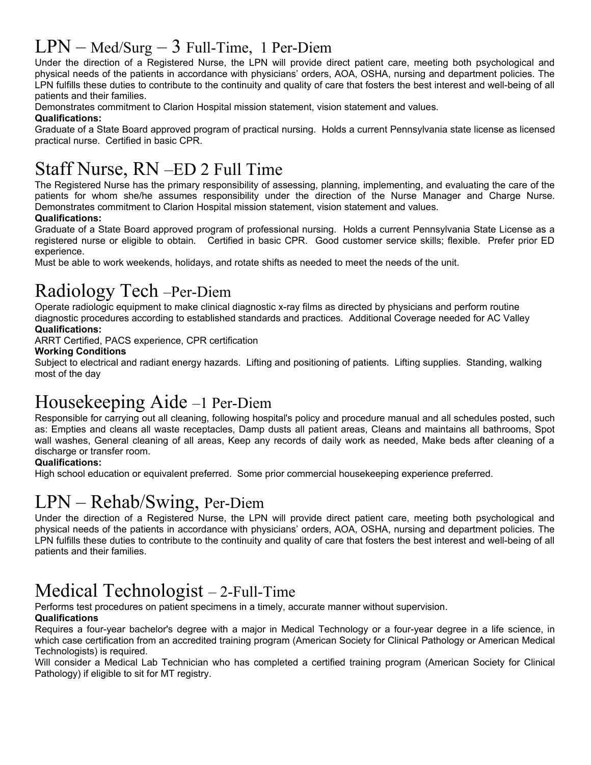### $LPN - Med/Surg - 3$  Full-Time, 1 Per-Diem

Under the direction of a Registered Nurse, the LPN will provide direct patient care, meeting both psychological and physical needs of the patients in accordance with physicians' orders, AOA, OSHA, nursing and department policies. The LPN fulfills these duties to contribute to the continuity and quality of care that fosters the best interest and well-being of all patients and their families.

Demonstrates commitment to Clarion Hospital mission statement, vision statement and values.

#### **Qualifications:**

Graduate of a State Board approved program of practical nursing. Holds a current Pennsylvania state license as licensed practical nurse. Certified in basic CPR.

# Staff Nurse, RN –ED 2 Full Time

The Registered Nurse has the primary responsibility of assessing, planning, implementing, and evaluating the care of the patients for whom she/he assumes responsibility under the direction of the Nurse Manager and Charge Nurse. Demonstrates commitment to Clarion Hospital mission statement, vision statement and values.

#### **Qualifications:**

Graduate of a State Board approved program of professional nursing. Holds a current Pennsylvania State License as a registered nurse or eligible to obtain. Certified in basic CPR. Good customer service skills; flexible. Prefer prior ED experience.

Must be able to work weekends, holidays, and rotate shifts as needed to meet the needs of the unit.

# Radiology Tech –Per-Diem

Operate radiologic equipment to make clinical diagnostic x-ray films as directed by physicians and perform routine diagnostic procedures according to established standards and practices. Additional Coverage needed for AC Valley **Qualifications:**

ARRT Certified, PACS experience, CPR certification

#### **Working Conditions**

Subject to electrical and radiant energy hazards. Lifting and positioning of patients. Lifting supplies. Standing, walking most of the day

### Housekeeping Aide –1 Per-Diem

Responsible for carrying out all cleaning, following hospital's policy and procedure manual and all schedules posted, such as: Empties and cleans all waste receptacles, Damp dusts all patient areas, Cleans and maintains all bathrooms, Spot wall washes, General cleaning of all areas, Keep any records of daily work as needed, Make beds after cleaning of a discharge or transfer room.

#### **Qualifications:**

High school education or equivalent preferred. Some prior commercial housekeeping experience preferred.

### LPN – Rehab/Swing, Per-Diem

Under the direction of a Registered Nurse, the LPN will provide direct patient care, meeting both psychological and physical needs of the patients in accordance with physicians' orders, AOA, OSHA, nursing and department policies. The LPN fulfills these duties to contribute to the continuity and quality of care that fosters the best interest and well-being of all patients and their families.

### Medical Technologist – 2-Full-Time

Performs test procedures on patient specimens in a timely, accurate manner without supervision.

#### **Qualifications**

Requires a four-year bachelor's degree with a major in Medical Technology or a four-year degree in a life science, in which case certification from an accredited training program (American Society for Clinical Pathology or American Medical Technologists) is required.

Will consider a Medical Lab Technician who has completed a certified training program (American Society for Clinical Pathology) if eligible to sit for MT registry.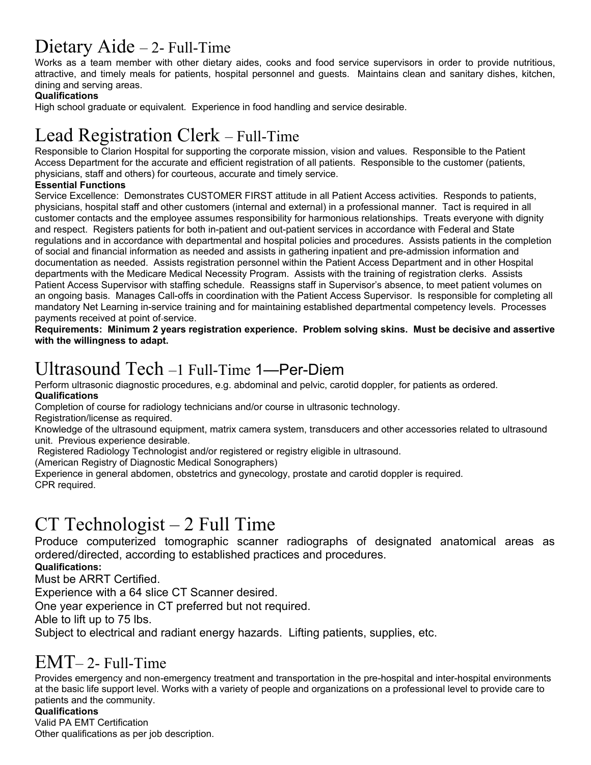# Dietary Aide – 2- Full-Time

Works as a team member with other dietary aides, cooks and food service supervisors in order to provide nutritious, attractive, and timely meals for patients, hospital personnel and guests. Maintains clean and sanitary dishes, kitchen, dining and serving areas.

#### **Qualifications**

High school graduate or equivalent. Experience in food handling and service desirable.

# Lead Registration Clerk – Full-Time

Responsible to Clarion Hospital for supporting the corporate mission, vision and values. Responsible to the Patient Access Department for the accurate and efficient registration of all patients. Responsible to the customer (patients, physicians, staff and others) for courteous, accurate and timely service.

#### **Essential Functions**

Service Excellence: Demonstrates CUSTOMER FIRST attitude in all Patient Access activities. Responds to patients, physicians, hospital staff and other customers (internal and external) in a professional manner. Tact is required in all customer contacts and the employee assumes responsibility for harmonious relationships. Treats everyone with dignity and respect. Registers patients for both in-patient and out-patient services in accordance with Federal and State regulations and in accordance with departmental and hospital policies and procedures. Assists patients in the completion of social and financial information as needed and assists in gathering inpatient and pre-admission information and documentation as needed. Assists registration personnel within the Patient Access Department and in other Hospital departments with the Medicare Medical Necessity Program. Assists with the training of registration clerks. Assists Patient Access Supervisor with staffing schedule. Reassigns staff in Supervisor's absence, to meet patient volumes on an ongoing basis. Manages Call-offs in coordination with the Patient Access Supervisor. Is responsible for completing all mandatory Net Learning in-service training and for maintaining established departmental competency levels. Processes payments received at point of-service.

**Requirements: Minimum 2 years registration experience. Problem solving skins. Must be decisive and assertive with the willingness to adapt.**

### Ultrasound Tech –1 Full-Time 1—Per-Diem

Perform ultrasonic diagnostic procedures, e.g. abdominal and pelvic, carotid doppler, for patients as ordered. **Qualifications**

Completion of course for radiology technicians and/or course in ultrasonic technology.

Registration/license as required.

Knowledge of the ultrasound equipment, matrix camera system, transducers and other accessories related to ultrasound unit. Previous experience desirable.

Registered Radiology Technologist and/or registered or registry eligible in ultrasound.

(American Registry of Diagnostic Medical Sonographers)

Experience in general abdomen, obstetrics and gynecology, prostate and carotid doppler is required. CPR required.

# CT Technologist – 2 Full Time

Produce computerized tomographic scanner radiographs of designated anatomical areas as ordered/directed, according to established practices and procedures.

**Qualifications:**

Must be ARRT Certified.

Experience with a 64 slice CT Scanner desired.

One year experience in CT preferred but not required.

Able to lift up to 75 lbs.

Subject to electrical and radiant energy hazards. Lifting patients, supplies, etc.

### EMT– 2- Full-Time

Provides emergency and non-emergency treatment and transportation in the pre-hospital and inter-hospital environments at the basic life support level. Works with a variety of people and organizations on a professional level to provide care to patients and the community.

#### **Qualifications**

Valid PA EMT Certification Other qualifications as per job description.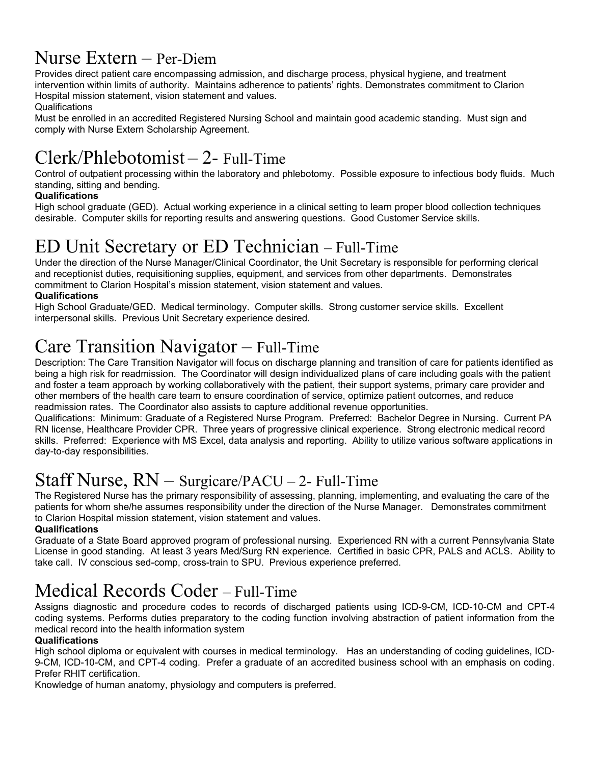### Nurse Extern – Per-Diem

Provides direct patient care encompassing admission, and discharge process, physical hygiene, and treatment intervention within limits of authority. Maintains adherence to patients' rights. Demonstrates commitment to Clarion Hospital mission statement, vision statement and values.

#### **Qualifications**

Must be enrolled in an accredited Registered Nursing School and maintain good academic standing. Must sign and comply with Nurse Extern Scholarship Agreement.

# Clerk/Phlebotomist – 2- Full-Time

Control of outpatient processing within the laboratory and phlebotomy. Possible exposure to infectious body fluids. Much standing, sitting and bending.

#### **Qualifications**

High school graduate (GED). Actual working experience in a clinical setting to learn proper blood collection techniques desirable. Computer skills for reporting results and answering questions. Good Customer Service skills.

### ED Unit Secretary or ED Technician – Full-Time

Under the direction of the Nurse Manager/Clinical Coordinator, the Unit Secretary is responsible for performing clerical and receptionist duties, requisitioning supplies, equipment, and services from other departments. Demonstrates commitment to Clarion Hospital's mission statement, vision statement and values.

#### **Qualifications**

High School Graduate/GED. Medical terminology. Computer skills. Strong customer service skills. Excellent interpersonal skills. Previous Unit Secretary experience desired.

### Care Transition Navigator – Full-Time

Description: The Care Transition Navigator will focus on discharge planning and transition of care for patients identified as being a high risk for readmission. The Coordinator will design individualized plans of care including goals with the patient and foster a team approach by working collaboratively with the patient, their support systems, primary care provider and other members of the health care team to ensure coordination of service, optimize patient outcomes, and reduce readmission rates. The Coordinator also assists to capture additional revenue opportunities.

Qualifications: Minimum: Graduate of a Registered Nurse Program. Preferred: Bachelor Degree in Nursing. Current PA RN license, Healthcare Provider CPR. Three years of progressive clinical experience. Strong electronic medical record skills. Preferred: Experience with MS Excel, data analysis and reporting. Ability to utilize various software applications in day-to-day responsibilities.

### Staff Nurse, RN – Surgicare/PACU – 2- Full-Time

The Registered Nurse has the primary responsibility of assessing, planning, implementing, and evaluating the care of the patients for whom she/he assumes responsibility under the direction of the Nurse Manager. Demonstrates commitment to Clarion Hospital mission statement, vision statement and values.

#### **Qualifications**

Graduate of a State Board approved program of professional nursing. Experienced RN with a current Pennsylvania State License in good standing. At least 3 years Med/Surg RN experience. Certified in basic CPR, PALS and ACLS. Ability to take call. IV conscious sed-comp, cross-train to SPU. Previous experience preferred.

### Medical Records Coder – Full-Time

Assigns diagnostic and procedure codes to records of discharged patients using ICD-9-CM, ICD-10-CM and CPT-4 coding systems. Performs duties preparatory to the coding function involving abstraction of patient information from the medical record into the health information system

#### **Qualifications**

High school diploma or equivalent with courses in medical terminology. Has an understanding of coding guidelines, ICD-9-CM, ICD-10-CM, and CPT-4 coding. Prefer a graduate of an accredited business school with an emphasis on coding. Prefer RHIT certification.

Knowledge of human anatomy, physiology and computers is preferred.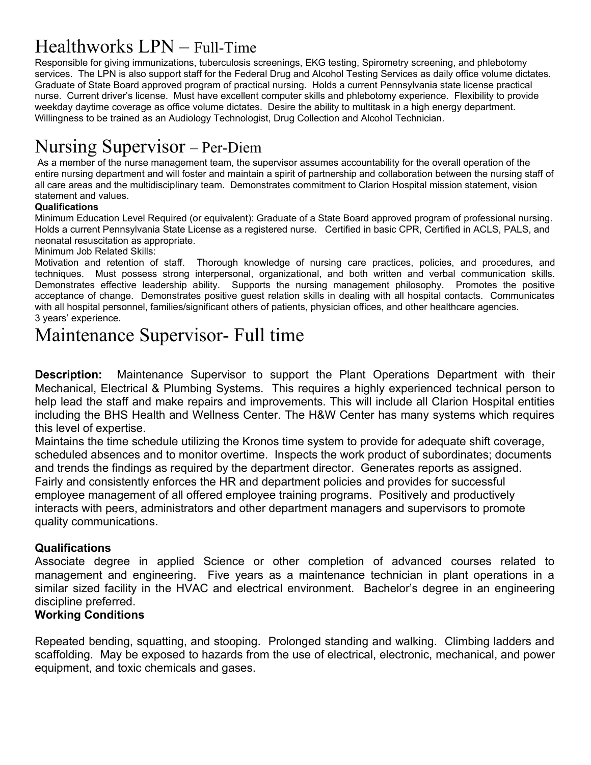# Healthworks LPN – Full-Time

Responsible for giving immunizations, tuberculosis screenings, EKG testing, Spirometry screening, and phlebotomy services. The LPN is also support staff for the Federal Drug and Alcohol Testing Services as daily office volume dictates. Graduate of State Board approved program of practical nursing. Holds a current Pennsylvania state license practical nurse. Current driver's license. Must have excellent computer skills and phlebotomy experience. Flexibility to provide weekday daytime coverage as office volume dictates. Desire the ability to multitask in a high energy department. Willingness to be trained as an Audiology Technologist, Drug Collection and Alcohol Technician.

# Nursing Supervisor – Per-Diem

As a member of the nurse management team, the supervisor assumes accountability for the overall operation of the entire nursing department and will foster and maintain a spirit of partnership and collaboration between the nursing staff of all care areas and the multidisciplinary team. Demonstrates commitment to Clarion Hospital mission statement, vision statement and values.

#### **Qualifications**

Minimum Education Level Required (or equivalent): Graduate of a State Board approved program of professional nursing. Holds a current Pennsylvania State License as a registered nurse. Certified in basic CPR, Certified in ACLS, PALS, and neonatal resuscitation as appropriate.

#### Minimum Job Related Skills:

Motivation and retention of staff. Thorough knowledge of nursing care practices, policies, and procedures, and techniques. Must possess strong interpersonal, organizational, and both written and verbal communication skills. Demonstrates effective leadership ability. Supports the nursing management philosophy. Promotes the positive acceptance of change. Demonstrates positive guest relation skills in dealing with all hospital contacts. Communicates with all hospital personnel, families/significant others of patients, physician offices, and other healthcare agencies. 3 years' experience.

### Maintenance Supervisor- Full time

**Description:** Maintenance Supervisor to support the Plant Operations Department with their Mechanical, Electrical & Plumbing Systems. This requires a highly experienced technical person to help lead the staff and make repairs and improvements. This will include all Clarion Hospital entities including the BHS Health and Wellness Center. The H&W Center has many systems which requires this level of expertise.

Maintains the time schedule utilizing the Kronos time system to provide for adequate shift coverage, scheduled absences and to monitor overtime. Inspects the work product of subordinates; documents and trends the findings as required by the department director. Generates reports as assigned. Fairly and consistently enforces the HR and department policies and provides for successful employee management of all offered employee training programs. Positively and productively interacts with peers, administrators and other department managers and supervisors to promote quality communications.

#### **Qualifications**

Associate degree in applied Science or other completion of advanced courses related to management and engineering. Five years as a maintenance technician in plant operations in a similar sized facility in the HVAC and electrical environment. Bachelor's degree in an engineering discipline preferred.

### **Working Conditions**

Repeated bending, squatting, and stooping. Prolonged standing and walking. Climbing ladders and scaffolding. May be exposed to hazards from the use of electrical, electronic, mechanical, and power equipment, and toxic chemicals and gases.